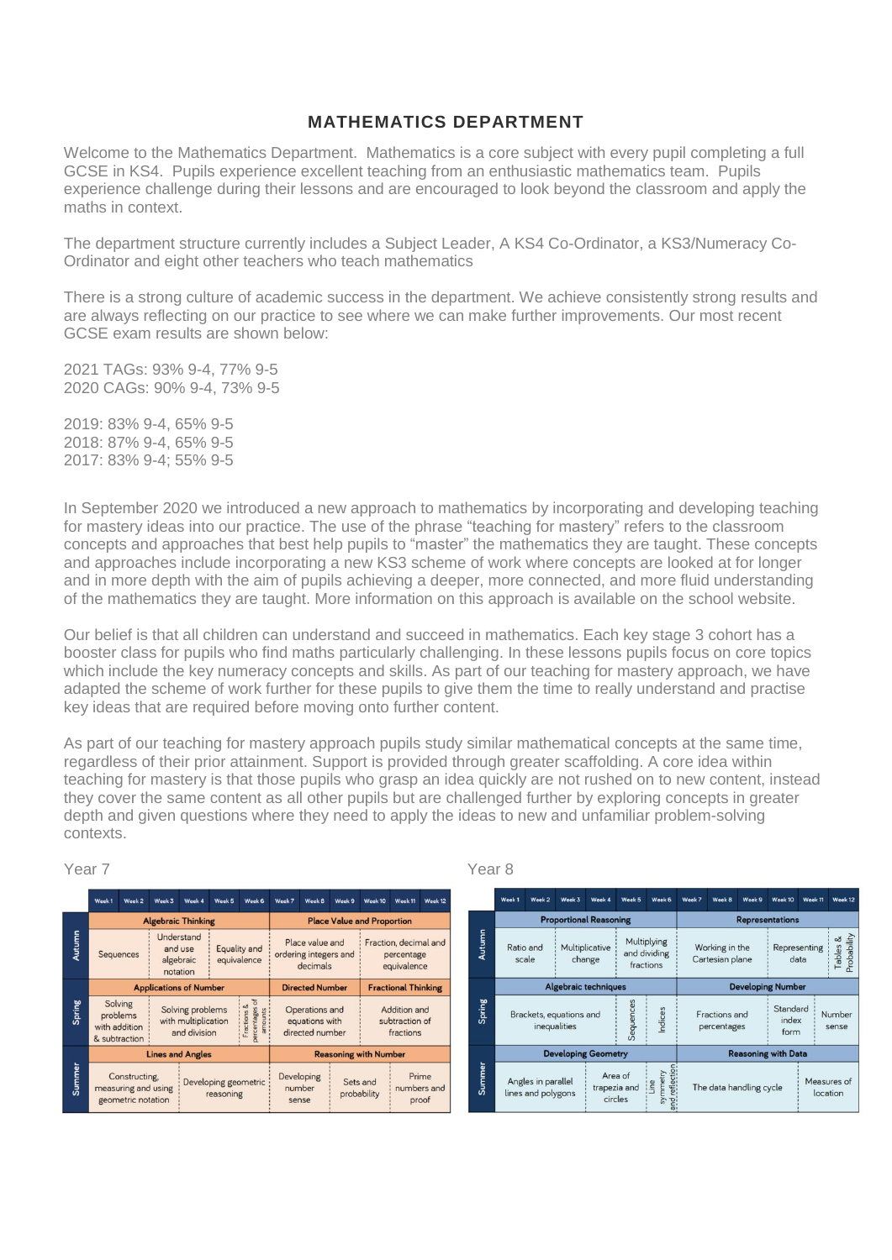## **MATHEMATICS DEPARTMENT**

Welcome to the Mathematics Department. Mathematics is a core subject with every pupil completing a full GCSE in KS4. Pupils experience excellent teaching from an enthusiastic mathematics team. Pupils experience challenge during their lessons and are encouraged to look beyond the classroom and apply the maths in context.

The department structure currently includes a Subject Leader, A KS4 Co-Ordinator, a KS3/Numeracy Co-Ordinator and eight other teachers who teach mathematics

There is a strong culture of academic success in the department. We achieve consistently strong results and are always reflecting on our practice to see where we can make further improvements. Our most recent GCSE exam results are shown below:

2021 TAGs: 93% 9-4, 77% 9-5 2020 CAGs: 90% 9-4, 73% 9-5

2019: 83% 9-4, 65% 9-5 2018: 87% 9-4, 65% 9-5 2017: 83% 9-4; 55% 9-5

In September 2020 we introduced a new approach to mathematics by incorporating and developing teaching for mastery ideas into our practice. The use of the phrase "teaching for mastery" refers to the classroom concepts and approaches that best help pupils to "master" the mathematics they are taught. These concepts and approaches include incorporating a new KS3 scheme of work where concepts are looked at for longer and in more depth with the aim of pupils achieving a deeper, more connected, and more fluid understanding of the mathematics they are taught. More information on this approach is available on the school website.

Our belief is that all children can understand and succeed in mathematics. Each key stage 3 cohort has a booster class for pupils who find maths particularly challenging. In these lessons pupils focus on core topics which include the key numeracy concepts and skills. As part of our teaching for mastery approach, we have adapted the scheme of work further for these pupils to give them the time to really understand and practise key ideas that are required before moving onto further content.

As part of our teaching for mastery approach pupils study similar mathematical concepts at the same time, regardless of their prior attainment. Support is provided through greater scaffolding. A core idea within teaching for mastery is that those pupils who grasp an idea quickly are not rushed on to new content, instead they cover the same content as all other pupils but are challenged further by exploring concepts in greater depth and given questions where they need to apply the ideas to new and unfamiliar problem-solving contexts.

|        | Week <sub>1</sub>                                                                               | Week 2    | Week 3                                         | Week 4                                                                                              | Week 5 | Week 6                      | Week 7                                                   | Week 8                                               | Week 9 | Week 10                                            | Week 11                    | Week 12 |  |  |
|--------|-------------------------------------------------------------------------------------------------|-----------|------------------------------------------------|-----------------------------------------------------------------------------------------------------|--------|-----------------------------|----------------------------------------------------------|------------------------------------------------------|--------|----------------------------------------------------|----------------------------|---------|--|--|
| Autumn | <b>Algebraic Thinking</b>                                                                       |           |                                                |                                                                                                     |        |                             |                                                          | <b>Place Value and Proportion</b>                    |        |                                                    |                            |         |  |  |
|        |                                                                                                 | Sequences | Understand<br>and use<br>algebraic<br>notation |                                                                                                     |        | Equality and<br>equivalence |                                                          | Place value and<br>ordering integers and<br>decimals |        | Fraction, decimal and<br>percentage<br>equivalence |                            |         |  |  |
| Spring | <b>Applications of Number</b>                                                                   |           |                                                |                                                                                                     |        |                             |                                                          | <b>Directed Number</b>                               |        |                                                    | <b>Fractional Thinking</b> |         |  |  |
|        | Solving<br>problems<br>with addition<br>& subtraction                                           |           |                                                | percentages of<br>Fractions &<br>Solving problems<br>amounts<br>with multiplication<br>and division |        |                             | Operations and<br>equations with<br>directed number      |                                                      |        | Addition and<br>subtraction of<br>fractions        |                            |         |  |  |
| Summer | <b>Lines and Angles</b>                                                                         |           |                                                |                                                                                                     |        |                             |                                                          | <b>Reasoning with Number</b>                         |        |                                                    |                            |         |  |  |
|        | Constructing,<br>Developing geometric<br>measuring and using<br>reasoning<br>geometric notation |           |                                                |                                                                                                     |        |                             | Developing<br>Sets and<br>number<br>probability<br>sense |                                                      |        | Prime<br>numbers and<br>proof                      |                            |         |  |  |

Year 7 Year 8

|  |        | Week <sub>1</sub>                                                              | Week 2 | Week 3 | Week 4                   | Week 5                             | Week 6                                   | Week 7                            | Week 8 | Week 9                    | Week 10                 | Week <sub>11</sub>      | Week <sub>12</sub> |
|--|--------|--------------------------------------------------------------------------------|--------|--------|--------------------------|------------------------------------|------------------------------------------|-----------------------------------|--------|---------------------------|-------------------------|-------------------------|--------------------|
|  |        | <b>Proportional Reasoning</b>                                                  |        |        |                          |                                    |                                          | <b>Representations</b>            |        |                           |                         |                         |                    |
|  | Autumn | Ratio and<br>scale                                                             |        |        | Multiplicative<br>change |                                    | Multiplying<br>and dividing<br>fractions | Working in the<br>Cartesian plane |        | Representing<br>data      |                         | Probability<br>Tables & |                    |
|  |        | <b>Algebraic techniques</b>                                                    |        |        |                          |                                    | <b>Developing Number</b>                 |                                   |        |                           |                         |                         |                    |
|  | Spring | Sequences<br>Brackets, equations and<br>inequalities                           |        |        |                          |                                    | Indices                                  | Fractions and<br>percentages      |        | Standard<br>index<br>form | Number<br>sense         |                         |                    |
|  |        | <b>Developing Geometry</b>                                                     |        |        |                          |                                    |                                          | <b>Reasoning with Data</b>        |        |                           |                         |                         |                    |
|  | Summer | Area of<br>Angles in parallel<br>trapezia and<br>lines and polygons<br>circles |        |        |                          | and reflection<br>symmetry<br>Line | The data handling cycle                  |                                   |        |                           | Measures of<br>location |                         |                    |